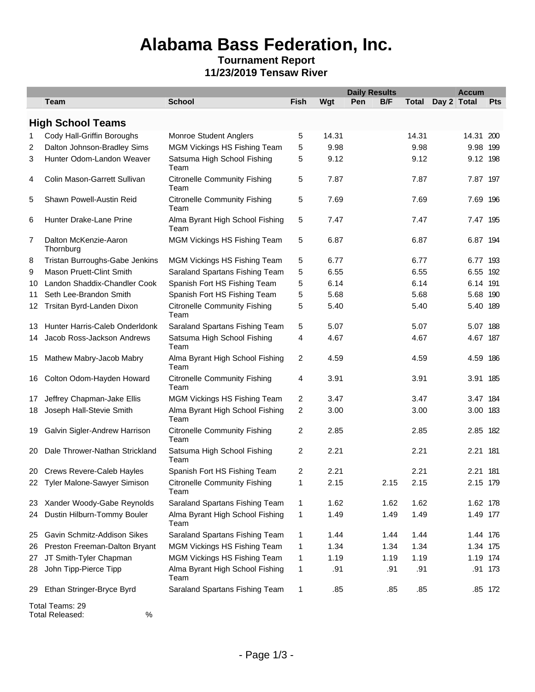## **Alabama Bass Federation, Inc.**

#### **Tournament Report 11/23/2019 Tensaw River**

|    |                                    |                                             |              |       | <b>Daily Results</b> |      |              | <b>Accum</b> |          |  |
|----|------------------------------------|---------------------------------------------|--------------|-------|----------------------|------|--------------|--------------|----------|--|
|    | <b>Team</b>                        | <b>School</b>                               | <b>Fish</b>  | Wgt   | Pen                  | B/F  | <b>Total</b> | Day 2 Total  | Pts      |  |
|    | <b>High School Teams</b>           |                                             |              |       |                      |      |              |              |          |  |
| 1  | Cody Hall-Griffin Boroughs         | <b>Monroe Student Anglers</b>               | 5            | 14.31 |                      |      | 14.31        | 14.31 200    |          |  |
| 2  | Dalton Johnson-Bradley Sims        | MGM Vickings HS Fishing Team                | 5            | 9.98  |                      |      | 9.98         |              | 9.98 199 |  |
| 3  | Hunter Odom-Landon Weaver          | Satsuma High School Fishing<br>Team         | 5            | 9.12  |                      |      | 9.12         |              | 9.12 198 |  |
| 4  | Colin Mason-Garrett Sullivan       | <b>Citronelle Community Fishing</b><br>Team | 5            | 7.87  |                      |      | 7.87         |              | 7.87 197 |  |
| 5  | Shawn Powell-Austin Reid           | <b>Citronelle Community Fishing</b><br>Team | 5            | 7.69  |                      |      | 7.69         |              | 7.69 196 |  |
| 6  | Hunter Drake-Lane Prine            | Alma Byrant High School Fishing<br>Team     | 5            | 7.47  |                      |      | 7.47         |              | 7.47 195 |  |
| 7  | Dalton McKenzie-Aaron<br>Thornburg | MGM Vickings HS Fishing Team                | 5            | 6.87  |                      |      | 6.87         |              | 6.87 194 |  |
| 8  | Tristan Burroughs-Gabe Jenkins     | MGM Vickings HS Fishing Team                | 5            | 6.77  |                      |      | 6.77         |              | 6.77 193 |  |
| 9  | <b>Mason Pruett-Clint Smith</b>    | Saraland Spartans Fishing Team              | 5            | 6.55  |                      |      | 6.55         |              | 6.55 192 |  |
| 10 | Landon Shaddix-Chandler Cook       | Spanish Fort HS Fishing Team                | 5            | 6.14  |                      |      | 6.14         | 6.14 191     |          |  |
| 11 | Seth Lee-Brandon Smith             | Spanish Fort HS Fishing Team                | 5            | 5.68  |                      |      | 5.68         |              | 5.68 190 |  |
| 12 | Trsitan Byrd-Landen Dixon          | <b>Citronelle Community Fishing</b><br>Team | 5            | 5.40  |                      |      | 5.40         |              | 5.40 189 |  |
| 13 | Hunter Harris-Caleb Onderldonk     | Saraland Spartans Fishing Team              | 5            | 5.07  |                      |      | 5.07         |              | 5.07 188 |  |
| 14 | Jacob Ross-Jackson Andrews         | Satsuma High School Fishing<br>Team         | 4            | 4.67  |                      |      | 4.67         | 4.67 187     |          |  |
| 15 | Mathew Mabry-Jacob Mabry           | Alma Byrant High School Fishing<br>Team     | 2            | 4.59  |                      |      | 4.59         |              | 4.59 186 |  |
| 16 | Colton Odom-Hayden Howard          | <b>Citronelle Community Fishing</b><br>Team | 4            | 3.91  |                      |      | 3.91         |              | 3.91 185 |  |
| 17 | Jeffrey Chapman-Jake Ellis         | MGM Vickings HS Fishing Team                | 2            | 3.47  |                      |      | 3.47         |              | 3.47 184 |  |
| 18 | Joseph Hall-Stevie Smith           | Alma Byrant High School Fishing<br>Team     | 2            | 3.00  |                      |      | 3.00         |              | 3.00 183 |  |
| 19 | Galvin Sigler-Andrew Harrison      | <b>Citronelle Community Fishing</b><br>Team | 2            | 2.85  |                      |      | 2.85         | 2.85         | 182      |  |
| 20 | Dale Thrower-Nathan Strickland     | Satsuma High School Fishing<br>Team         | 2            | 2.21  |                      |      | 2.21         | 2.21 181     |          |  |
|    | 20 Crews Revere-Caleb Hayles       | Spanish Fort HS Fishing Team                | 2            | 2.21  |                      |      | 2.21         | 2.21 181     |          |  |
|    | 22 Tyler Malone-Sawyer Simison     | <b>Citronelle Community Fishing</b><br>Team | 1            | 2.15  |                      | 2.15 | 2.15         |              | 2.15 179 |  |
| 23 | Xander Woody-Gabe Reynolds         | Saraland Spartans Fishing Team              | $\mathbf{1}$ | 1.62  |                      | 1.62 | 1.62         |              | 1.62 178 |  |
| 24 | Dustin Hilburn-Tommy Bouler        | Alma Byrant High School Fishing<br>Team     | 1            | 1.49  |                      | 1.49 | 1.49         |              | 1.49 177 |  |
| 25 | Gavin Schmitz-Addison Sikes        | Saraland Spartans Fishing Team              | $\mathbf{1}$ | 1.44  |                      | 1.44 | 1.44         |              | 1.44 176 |  |
| 26 | Preston Freeman-Dalton Bryant      | MGM Vickings HS Fishing Team                | 1            | 1.34  |                      | 1.34 | 1.34         |              | 1.34 175 |  |
| 27 | JT Smith-Tyler Chapman             | MGM Vickings HS Fishing Team                | 1            | 1.19  |                      | 1.19 | 1.19         |              | 1.19 174 |  |
| 28 | John Tipp-Pierce Tipp              | Alma Byrant High School Fishing<br>Team     | 1            | .91   |                      | .91  | .91          |              | .91 173  |  |
| 29 | Ethan Stringer-Bryce Byrd          | Saraland Spartans Fishing Team              | 1            | .85   |                      | .85  | .85          |              | .85 172  |  |

Total Teams: 29 Total Released: %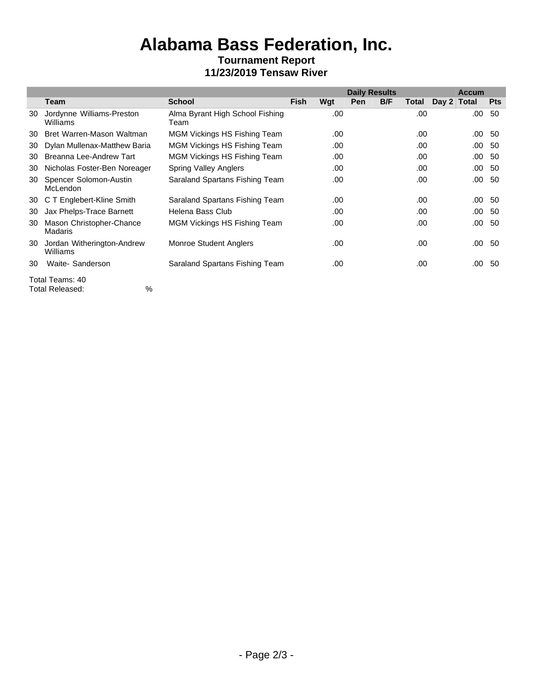## **Alabama Bass Federation, Inc. Tournament Report 11/23/2019 Tensaw River**

|    |                                            |                                         |      |     | <b>Daily Results</b> |     |       |             | <b>Accum</b>  |            |
|----|--------------------------------------------|-----------------------------------------|------|-----|----------------------|-----|-------|-------------|---------------|------------|
|    | Team                                       | <b>School</b>                           | Fish | Wgt | Pen                  | B/F | Total | Day 2 Total |               | <b>Pts</b> |
| 30 | Jordynne Williams-Preston<br>Williams      | Alma Byrant High School Fishing<br>Team |      | .00 |                      |     | .00   |             | .00           | -50        |
| 30 | Bret Warren-Mason Waltman                  | MGM Vickings HS Fishing Team            |      | .00 |                      |     | .00   |             | $.00\quad 50$ |            |
| 30 | Dylan Mullenax-Matthew Baria               | MGM Vickings HS Fishing Team            |      | .00 |                      |     | .00   |             | $.00\quad 50$ |            |
| 30 | Breanna Lee-Andrew Tart                    | <b>MGM Vickings HS Fishing Team</b>     |      | .00 |                      |     | .00   |             | .00           | -50        |
| 30 | Nicholas Foster-Ben Noreager               | <b>Spring Valley Anglers</b>            |      | .00 |                      |     | .00   |             | $.00\ 50$     |            |
| 30 | Spencer Solomon-Austin<br>McLendon         | Saraland Spartans Fishing Team          |      | .00 |                      |     | .00   |             | $.00\quad 50$ |            |
|    | 30 C T Englebert-Kline Smith               | Saraland Spartans Fishing Team          |      | .00 |                      |     | .00   |             | $.00\quad 50$ |            |
| 30 | Jax Phelps-Trace Barnett                   | Helena Bass Club                        |      | .00 |                      |     | .00   |             | $.00\quad50$  |            |
| 30 | Mason Christopher-Chance<br><b>Madaris</b> | <b>MGM Vickings HS Fishing Team</b>     |      | .00 |                      |     | .00   |             | .00           | -50        |
| 30 | Jordan Witherington-Andrew<br>Williams     | <b>Monroe Student Anglers</b>           |      | .00 |                      |     | .00   |             | .00           | 50         |
| 30 | Waite- Sanderson                           | Saraland Spartans Fishing Team          |      | .00 |                      |     | .00   |             | $.00\ 50$     |            |
|    | Total Teams: 40                            |                                         |      |     |                      |     |       |             |               |            |

Total Released: %